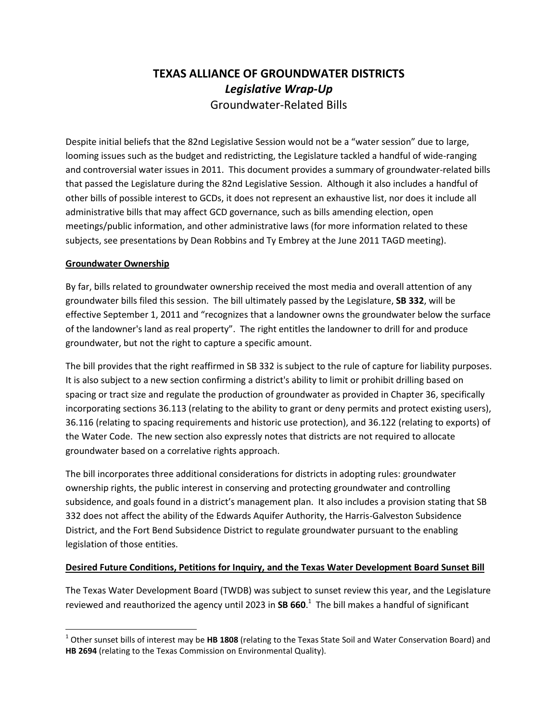# **TEXAS ALLIANCE OF GROUNDWATER DISTRICTS** *Legislative Wrap-Up* Groundwater-Related Bills

Despite initial beliefs that the 82nd Legislative Session would not be a "water session" due to large, looming issues such as the budget and redistricting, the Legislature tackled a handful of wide-ranging and controversial water issues in 2011. This document provides a summary of groundwater-related bills that passed the Legislature during the 82nd Legislative Session. Although it also includes a handful of other bills of possible interest to GCDs, it does not represent an exhaustive list, nor does it include all administrative bills that may affect GCD governance, such as bills amending election, open meetings/public information, and other administrative laws (for more information related to these subjects, see presentations by Dean Robbins and Ty Embrey at the June 2011 TAGD meeting).

## **Groundwater Ownership**

By far, bills related to groundwater ownership received the most media and overall attention of any groundwater bills filed this session. The bill ultimately passed by the Legislature, **SB 332**, will be effective September 1, 2011 and "recognizes that a landowner owns the groundwater below the surface of the landowner's land as real property". The right entitles the landowner to drill for and produce groundwater, but not the right to capture a specific amount.

The bill provides that the right reaffirmed in SB 332 is subject to the rule of capture for liability purposes. It is also subject to a new section confirming a district's ability to limit or prohibit drilling based on spacing or tract size and regulate the production of groundwater as provided in Chapter 36, specifically incorporating sections 36.113 (relating to the ability to grant or deny permits and protect existing users), 36.116 (relating to spacing requirements and historic use protection), and 36.122 (relating to exports) of the Water Code. The new section also expressly notes that districts are not required to allocate groundwater based on a correlative rights approach.

The bill incorporates three additional considerations for districts in adopting rules: groundwater ownership rights, the public interest in conserving and protecting groundwater and controlling subsidence, and goals found in a district's management plan. It also includes a provision stating that SB 332 does not affect the ability of the Edwards Aquifer Authority, the Harris-Galveston Subsidence District, and the Fort Bend Subsidence District to regulate groundwater pursuant to the enabling legislation of those entities.

## **Desired Future Conditions, Petitions for Inquiry, and the Texas Water Development Board Sunset Bill**

The Texas Water Development Board (TWDB) was subject to sunset review this year, and the Legislature reviewed and reauthorized the agency until 2023 in **SB 660**. 1 The bill makes a handful of significant

l 1 Other sunset bills of interest may be **HB 1808** (relating to the Texas State Soil and Water Conservation Board) and **HB 2694** (relating to the Texas Commission on Environmental Quality).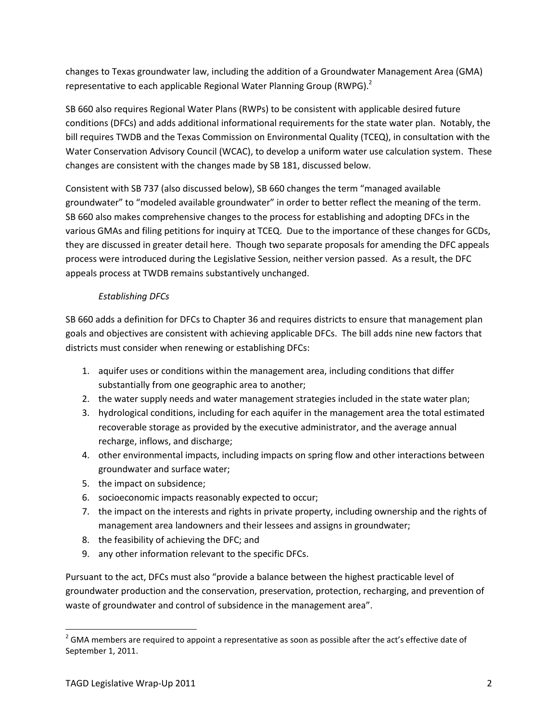changes to Texas groundwater law, including the addition of a Groundwater Management Area (GMA) representative to each applicable Regional Water Planning Group (RWPG).<sup>2</sup>

SB 660 also requires Regional Water Plans (RWPs) to be consistent with applicable desired future conditions (DFCs) and adds additional informational requirements for the state water plan. Notably, the bill requires TWDB and the Texas Commission on Environmental Quality (TCEQ), in consultation with the Water Conservation Advisory Council (WCAC), to develop a uniform water use calculation system. These changes are consistent with the changes made by SB 181, discussed below.

Consistent with SB 737 (also discussed below), SB 660 changes the term "managed available groundwater" to "modeled available groundwater" in order to better reflect the meaning of the term. SB 660 also makes comprehensive changes to the process for establishing and adopting DFCs in the various GMAs and filing petitions for inquiry at TCEQ. Due to the importance of these changes for GCDs, they are discussed in greater detail here. Though two separate proposals for amending the DFC appeals process were introduced during the Legislative Session, neither version passed. As a result, the DFC appeals process at TWDB remains substantively unchanged.

# *Establishing DFCs*

SB 660 adds a definition for DFCs to Chapter 36 and requires districts to ensure that management plan goals and objectives are consistent with achieving applicable DFCs. The bill adds nine new factors that districts must consider when renewing or establishing DFCs:

- 1. aquifer uses or conditions within the management area, including conditions that differ substantially from one geographic area to another;
- 2. the water supply needs and water management strategies included in the state water plan;
- 3. hydrological conditions, including for each aquifer in the management area the total estimated recoverable storage as provided by the executive administrator, and the average annual recharge, inflows, and discharge;
- 4. other environmental impacts, including impacts on spring flow and other interactions between groundwater and surface water;
- 5. the impact on subsidence;
- 6. socioeconomic impacts reasonably expected to occur;
- 7. the impact on the interests and rights in private property, including ownership and the rights of management area landowners and their lessees and assigns in groundwater;
- 8. the feasibility of achieving the DFC; and
- 9. any other information relevant to the specific DFCs.

Pursuant to the act, DFCs must also "provide a balance between the highest practicable level of groundwater production and the conservation, preservation, protection, recharging, and prevention of waste of groundwater and control of subsidence in the management area".

l  $^{2}$  GMA members are required to appoint a representative as soon as possible after the act's effective date of September 1, 2011.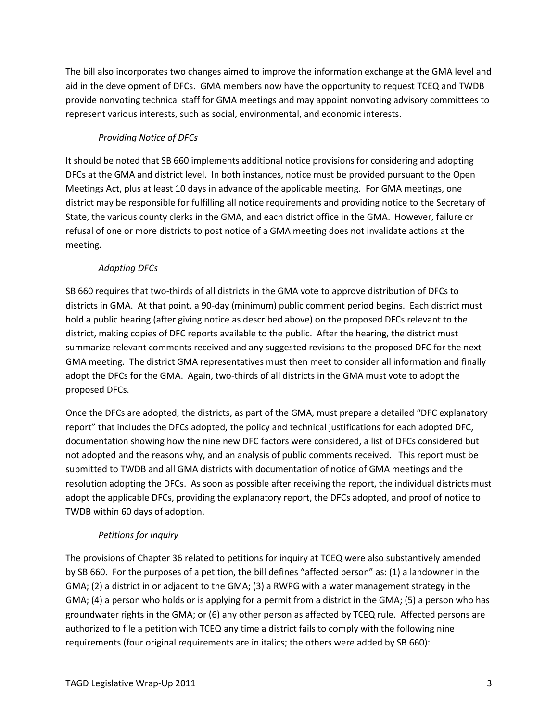The bill also incorporates two changes aimed to improve the information exchange at the GMA level and aid in the development of DFCs. GMA members now have the opportunity to request TCEQ and TWDB provide nonvoting technical staff for GMA meetings and may appoint nonvoting advisory committees to represent various interests, such as social, environmental, and economic interests.

# *Providing Notice of DFCs*

It should be noted that SB 660 implements additional notice provisions for considering and adopting DFCs at the GMA and district level. In both instances, notice must be provided pursuant to the Open Meetings Act, plus at least 10 days in advance of the applicable meeting. For GMA meetings, one district may be responsible for fulfilling all notice requirements and providing notice to the Secretary of State, the various county clerks in the GMA, and each district office in the GMA. However, failure or refusal of one or more districts to post notice of a GMA meeting does not invalidate actions at the meeting.

# *Adopting DFCs*

SB 660 requires that two-thirds of all districts in the GMA vote to approve distribution of DFCs to districts in GMA. At that point, a 90-day (minimum) public comment period begins. Each district must hold a public hearing (after giving notice as described above) on the proposed DFCs relevant to the district, making copies of DFC reports available to the public. After the hearing, the district must summarize relevant comments received and any suggested revisions to the proposed DFC for the next GMA meeting. The district GMA representatives must then meet to consider all information and finally adopt the DFCs for the GMA. Again, two-thirds of all districts in the GMA must vote to adopt the proposed DFCs.

Once the DFCs are adopted, the districts, as part of the GMA, must prepare a detailed "DFC explanatory report" that includes the DFCs adopted, the policy and technical justifications for each adopted DFC, documentation showing how the nine new DFC factors were considered, a list of DFCs considered but not adopted and the reasons why, and an analysis of public comments received. This report must be submitted to TWDB and all GMA districts with documentation of notice of GMA meetings and the resolution adopting the DFCs. As soon as possible after receiving the report, the individual districts must adopt the applicable DFCs, providing the explanatory report, the DFCs adopted, and proof of notice to TWDB within 60 days of adoption.

# *Petitions for Inquiry*

The provisions of Chapter 36 related to petitions for inquiry at TCEQ were also substantively amended by SB 660. For the purposes of a petition, the bill defines "affected person" as: (1) a landowner in the GMA; (2) a district in or adjacent to the GMA; (3) a RWPG with a water management strategy in the GMA; (4) a person who holds or is applying for a permit from a district in the GMA; (5) a person who has groundwater rights in the GMA; or (6) any other person as affected by TCEQ rule. Affected persons are authorized to file a petition with TCEQ any time a district fails to comply with the following nine requirements (four original requirements are in italics; the others were added by SB 660):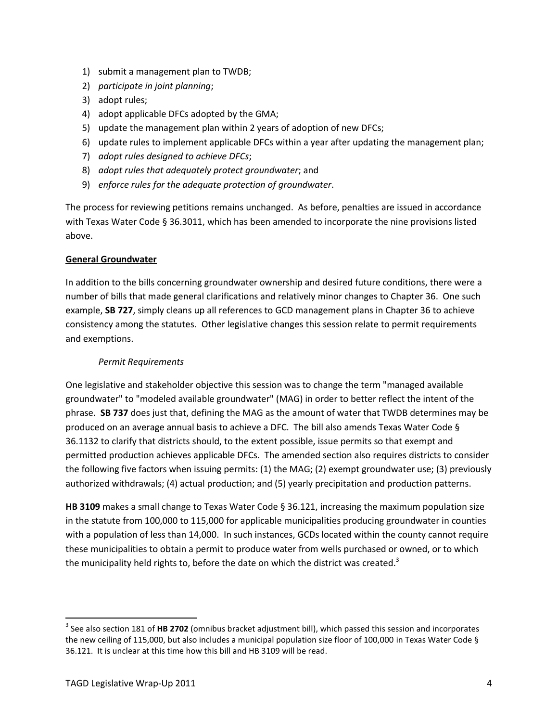- 1) submit a management plan to TWDB;
- 2) *participate in joint planning*;
- 3) adopt rules;
- 4) adopt applicable DFCs adopted by the GMA;
- 5) update the management plan within 2 years of adoption of new DFCs;
- 6) update rules to implement applicable DFCs within a year after updating the management plan;
- 7) *adopt rules designed to achieve DFCs*;
- 8) *adopt rules that adequately protect groundwater*; and
- 9) *enforce rules for the adequate protection of groundwater*.

The process for reviewing petitions remains unchanged. As before, penalties are issued in accordance with Texas Water Code § 36.3011, which has been amended to incorporate the nine provisions listed above.

## **General Groundwater**

In addition to the bills concerning groundwater ownership and desired future conditions, there were a number of bills that made general clarifications and relatively minor changes to Chapter 36. One such example, **SB 727**, simply cleans up all references to GCD management plans in Chapter 36 to achieve consistency among the statutes. Other legislative changes this session relate to permit requirements and exemptions.

#### *Permit Requirements*

One legislative and stakeholder objective this session was to change the term "managed available groundwater" to "modeled available groundwater" (MAG) in order to better reflect the intent of the phrase. **SB 737** does just that, defining the MAG as the amount of water that TWDB determines may be produced on an average annual basis to achieve a DFC. The bill also amends Texas Water Code § 36.1132 to clarify that districts should, to the extent possible, issue permits so that exempt and permitted production achieves applicable DFCs. The amended section also requires districts to consider the following five factors when issuing permits: (1) the MAG; (2) exempt groundwater use; (3) previously authorized withdrawals; (4) actual production; and (5) yearly precipitation and production patterns.

**HB 3109** makes a small change to Texas Water Code § 36.121, increasing the maximum population size in the statute from 100,000 to 115,000 for applicable municipalities producing groundwater in counties with a population of less than 14,000. In such instances, GCDs located within the county cannot require these municipalities to obtain a permit to produce water from wells purchased or owned, or to which the municipality held rights to, before the date on which the district was created.<sup>3</sup>

 $\overline{\phantom{a}}$ 

<sup>3</sup> See also section 181 of **HB 2702** (omnibus bracket adjustment bill), which passed this session and incorporates the new ceiling of 115,000, but also includes a municipal population size floor of 100,000 in Texas Water Code § 36.121. It is unclear at this time how this bill and HB 3109 will be read.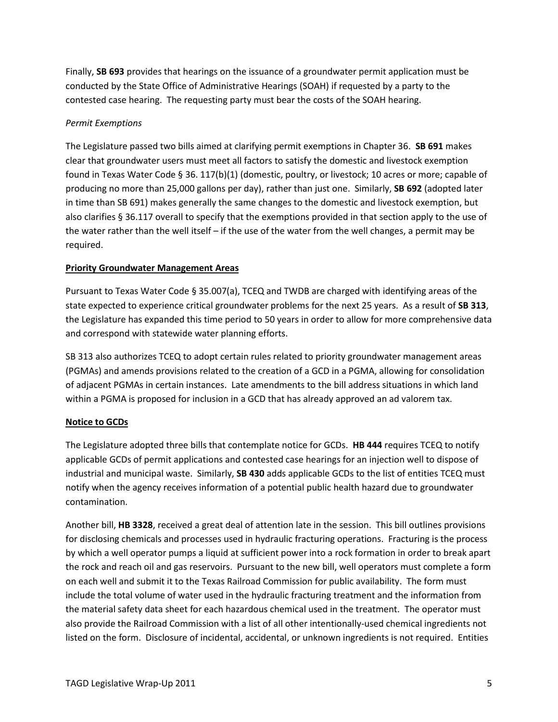Finally, **SB 693** provides that hearings on the issuance of a groundwater permit application must be conducted by the State Office of Administrative Hearings (SOAH) if requested by a party to the contested case hearing. The requesting party must bear the costs of the SOAH hearing.

## *Permit Exemptions*

The Legislature passed two bills aimed at clarifying permit exemptions in Chapter 36. **SB 691** makes clear that groundwater users must meet all factors to satisfy the domestic and livestock exemption found in Texas Water Code § 36. 117(b)(1) (domestic, poultry, or livestock; 10 acres or more; capable of producing no more than 25,000 gallons per day), rather than just one. Similarly, **SB 692** (adopted later in time than SB 691) makes generally the same changes to the domestic and livestock exemption, but also clarifies § 36.117 overall to specify that the exemptions provided in that section apply to the use of the water rather than the well itself – if the use of the water from the well changes, a permit may be required.

## **Priority Groundwater Management Areas**

Pursuant to Texas Water Code § 35.007(a), TCEQ and TWDB are charged with identifying areas of the state expected to experience critical groundwater problems for the next 25 years. As a result of **SB 313**, the Legislature has expanded this time period to 50 years in order to allow for more comprehensive data and correspond with statewide water planning efforts.

SB 313 also authorizes TCEQ to adopt certain rules related to priority groundwater management areas (PGMAs) and amends provisions related to the creation of a GCD in a PGMA, allowing for consolidation of adjacent PGMAs in certain instances. Late amendments to the bill address situations in which land within a PGMA is proposed for inclusion in a GCD that has already approved an ad valorem tax.

## **Notice to GCDs**

The Legislature adopted three bills that contemplate notice for GCDs. **HB 444** requires TCEQ to notify applicable GCDs of permit applications and contested case hearings for an injection well to dispose of industrial and municipal waste. Similarly, **SB 430** adds applicable GCDs to the list of entities TCEQ must notify when the agency receives information of a potential public health hazard due to groundwater contamination.

Another bill, **HB 3328**, received a great deal of attention late in the session. This bill outlines provisions for disclosing chemicals and processes used in hydraulic fracturing operations. Fracturing is the process by which a well operator pumps a liquid at sufficient power into a rock formation in order to break apart the rock and reach oil and gas reservoirs. Pursuant to the new bill, well operators must complete a form on each well and submit it to the Texas Railroad Commission for public availability. The form must include the total volume of water used in the hydraulic fracturing treatment and the information from the material safety data sheet for each hazardous chemical used in the treatment. The operator must also provide the Railroad Commission with a list of all other intentionally-used chemical ingredients not listed on the form. Disclosure of incidental, accidental, or unknown ingredients is not required. Entities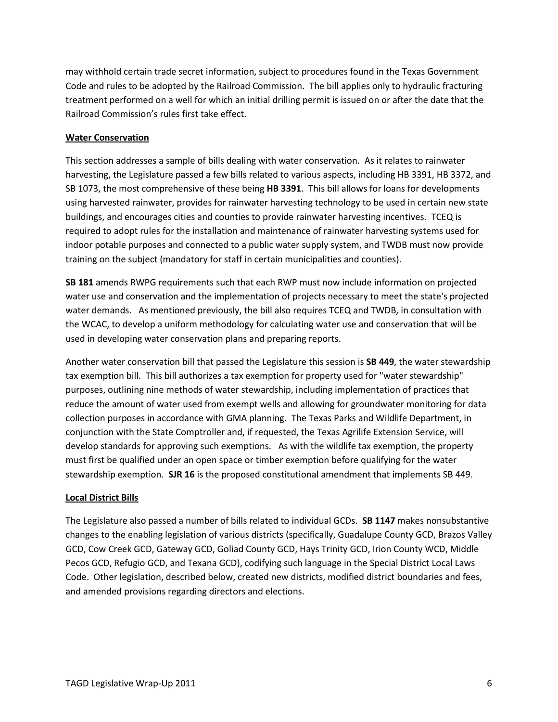may withhold certain trade secret information, subject to procedures found in the Texas Government Code and rules to be adopted by the Railroad Commission. The bill applies only to hydraulic fracturing treatment performed on a well for which an initial drilling permit is issued on or after the date that the Railroad Commission's rules first take effect.

#### **Water Conservation**

This section addresses a sample of bills dealing with water conservation. As it relates to rainwater harvesting, the Legislature passed a few bills related to various aspects, including HB 3391, HB 3372, and SB 1073, the most comprehensive of these being **HB 3391**. This bill allows for loans for developments using harvested rainwater, provides for rainwater harvesting technology to be used in certain new state buildings, and encourages cities and counties to provide rainwater harvesting incentives. TCEQ is required to adopt rules for the installation and maintenance of rainwater harvesting systems used for indoor potable purposes and connected to a public water supply system, and TWDB must now provide training on the subject (mandatory for staff in certain municipalities and counties).

**SB 181** amends RWPG requirements such that each RWP must now include information on projected water use and conservation and the implementation of projects necessary to meet the state's projected water demands. As mentioned previously, the bill also requires TCEQ and TWDB, in consultation with the WCAC, to develop a uniform methodology for calculating water use and conservation that will be used in developing water conservation plans and preparing reports.

Another water conservation bill that passed the Legislature this session is **SB 449**, the water stewardship tax exemption bill. This bill authorizes a tax exemption for property used for "water stewardship" purposes, outlining nine methods of water stewardship, including implementation of practices that reduce the amount of water used from exempt wells and allowing for groundwater monitoring for data collection purposes in accordance with GMA planning. The Texas Parks and Wildlife Department, in conjunction with the State Comptroller and, if requested, the Texas Agrilife Extension Service, will develop standards for approving such exemptions. As with the wildlife tax exemption, the property must first be qualified under an open space or timber exemption before qualifying for the water stewardship exemption. **SJR 16** is the proposed constitutional amendment that implements SB 449.

#### **Local District Bills**

The Legislature also passed a number of bills related to individual GCDs. **SB 1147** makes nonsubstantive changes to the enabling legislation of various districts (specifically, Guadalupe County GCD, Brazos Valley GCD, Cow Creek GCD, Gateway GCD, Goliad County GCD, Hays Trinity GCD, Irion County WCD, Middle Pecos GCD, Refugio GCD, and Texana GCD), codifying such language in the Special District Local Laws Code. Other legislation, described below, created new districts, modified district boundaries and fees, and amended provisions regarding directors and elections.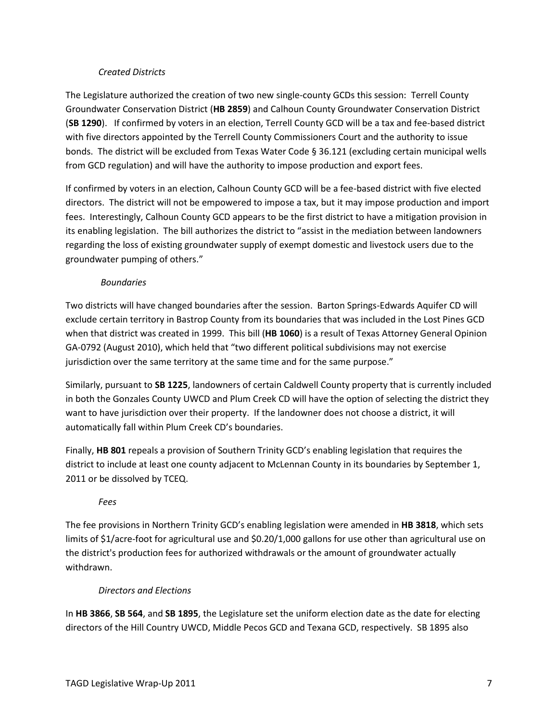#### *Created Districts*

The Legislature authorized the creation of two new single-county GCDs this session: Terrell County Groundwater Conservation District (**HB 2859**) and Calhoun County Groundwater Conservation District (**SB 1290**). If confirmed by voters in an election, Terrell County GCD will be a tax and fee-based district with five directors appointed by the Terrell County Commissioners Court and the authority to issue bonds. The district will be excluded from Texas Water Code § 36.121 (excluding certain municipal wells from GCD regulation) and will have the authority to impose production and export fees.

If confirmed by voters in an election, Calhoun County GCD will be a fee-based district with five elected directors. The district will not be empowered to impose a tax, but it may impose production and import fees. Interestingly, Calhoun County GCD appears to be the first district to have a mitigation provision in its enabling legislation. The bill authorizes the district to "assist in the mediation between landowners regarding the loss of existing groundwater supply of exempt domestic and livestock users due to the groundwater pumping of others."

#### *Boundaries*

Two districts will have changed boundaries after the session. Barton Springs-Edwards Aquifer CD will exclude certain territory in Bastrop County from its boundaries that was included in the Lost Pines GCD when that district was created in 1999. This bill (**HB 1060**) is a result of Texas Attorney General Opinion GA-0792 (August 2010), which held that "two different political subdivisions may not exercise jurisdiction over the same territory at the same time and for the same purpose."

Similarly, pursuant to **SB 1225**, landowners of certain Caldwell County property that is currently included in both the Gonzales County UWCD and Plum Creek CD will have the option of selecting the district they want to have jurisdiction over their property. If the landowner does not choose a district, it will automatically fall within Plum Creek CD's boundaries.

Finally, **HB 801** repeals a provision of Southern Trinity GCD's enabling legislation that requires the district to include at least one county adjacent to McLennan County in its boundaries by September 1, 2011 or be dissolved by TCEQ.

## *Fees*

The fee provisions in Northern Trinity GCD's enabling legislation were amended in **HB 3818**, which sets limits of \$1/acre-foot for agricultural use and \$0.20/1,000 gallons for use other than agricultural use on the district's production fees for authorized withdrawals or the amount of groundwater actually withdrawn.

#### *Directors and Elections*

In **HB 3866**, **SB 564**, and **SB 1895**, the Legislature set the uniform election date as the date for electing directors of the Hill Country UWCD, Middle Pecos GCD and Texana GCD, respectively. SB 1895 also